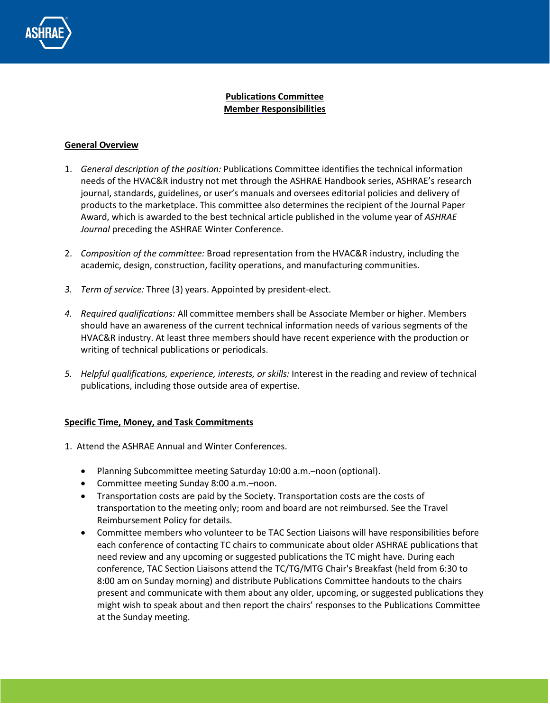

## **Publications Committee Member Responsibilities**

## **General Overview**

- 1. *General description of the position:* Publications Committee identifies the technical information needs of the HVAC&R industry not met through the ASHRAE Handbook series, ASHRAE's research journal, standards, guidelines, or user's manuals and oversees editorial policies and delivery of products to the marketplace. This committee also determines the recipient of the Journal Paper Award, which is awarded to the best technical article published in the volume year of *ASHRAE Journal* preceding the ASHRAE Winter Conference.
- 2. *Composition of the committee:* Broad representation from the HVAC&R industry, including the academic, design, construction, facility operations, and manufacturing communities.
- *3. Term of service:* Three (3) years. Appointed by president-elect.
- *4. Required qualifications:* All committee members shall be Associate Member or higher. Members should have an awareness of the current technical information needs of various segments of the HVAC&R industry. At least three members should have recent experience with the production or writing of technical publications or periodicals.
- *5. Helpful qualifications, experience, interests, or skills:* Interest in the reading and review of technical publications, including those outside area of expertise.

## **Specific Time, Money, and Task Commitments**

- 1. Attend the ASHRAE Annual and Winter Conferences.
	- Planning Subcommittee meeting Saturday 10:00 a.m.–noon (optional).
	- Committee meeting Sunday 8:00 a.m.–noon.
	- Transportation costs are paid by the Society. Transportation costs are the costs of transportation to the meeting only; room and board are not reimbursed. See the Travel Reimbursement Policy for details.
	- Committee members who volunteer to be TAC Section Liaisons will have responsibilities before each conference of contacting TC chairs to communicate about older ASHRAE publications that need review and any upcoming or suggested publications the TC might have. During each conference, TAC Section Liaisons attend the TC/TG/MTG Chair's Breakfast (held from 6:30 to 8:00 am on Sunday morning) and distribute Publications Committee handouts to the chairs present and communicate with them about any older, upcoming, or suggested publications they might wish to speak about and then report the chairs' responses to the Publications Committee at the Sunday meeting.